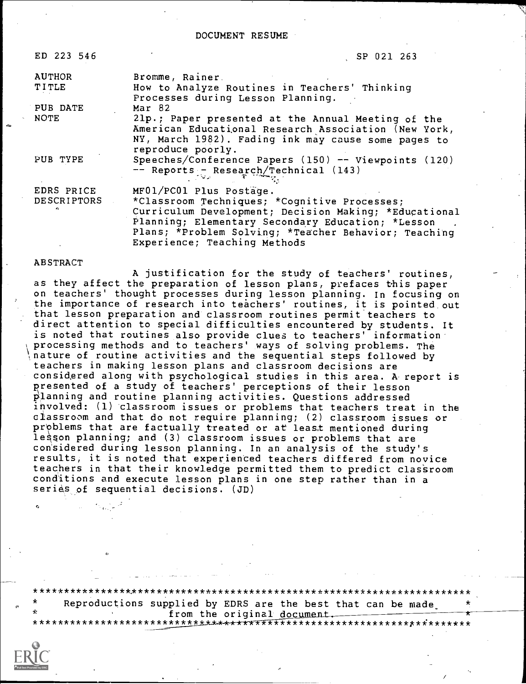DOCUMENT RESUME

| ED 223 546                       | SP 021 263                                                                                                                                                                                                                                    |
|----------------------------------|-----------------------------------------------------------------------------------------------------------------------------------------------------------------------------------------------------------------------------------------------|
| <b>AUTHOR</b>                    | Bromme, Rainer.                                                                                                                                                                                                                               |
| TITLE                            | How to Analyze Routines in Teachers' Thinking<br>Processes during Lesson Planning.                                                                                                                                                            |
| PUB DATE                         | Mar 82                                                                                                                                                                                                                                        |
| NOTE                             | 21p.; Paper presented at the Annual Meeting of the<br>American Educational Research Association (New York,<br>NY, March 1982). Fading ink may cause some pages to                                                                             |
| PUB TYPE                         | reproduce poorly.<br>Speeches/Conference Papers (150) -- Viewpoints (120)<br>-- Reports - Research/Technical (143)                                                                                                                            |
| EDRS PRICE<br><b>DESCRIPTORS</b> | MF01/PC01 Plus Postage.<br>*Classroom Techniques; *Cognitive Processes;<br>Curriculum Development; Decision Making; *Educational<br>Planning; Elementary Secondary Education; *Lesson<br>Plans; *Problem Solving; *Teacher Behavior; Teaching |

Experience; Teaching Methods

### ABSTRACT

A justification for the study of teachers' routines, as they affect the preparation of lesson plans, prefaces this paper on teachers' thought processes during lesson planning. In focusing on the importance of research into teachers' routines, it is pointed out that lesson preparation and classroom routines permit teachers to direct attention to special difficulties encountered by students. It is noted that routines also provide clues to teachers' information processing methods and to teachers' ways of solving problems. The nature of routine activities and the sequential steps followed by teachers in making lesson plans and classroom decisions are considgred along with psychological studies in this area. A report is presented of a study of teachers' perceptions of their lesson planning and routine planning activities. Questions addressed involved: (1) classroom issues or problems that teachers treat in the classroom and that do not require planning; (2) classroom issues or problems that are factually treated or at least mentioned during lesson planning; and (3) classroom issues or problems that are considered during lesson planning. In an analysis of the study's results, it is noted that experienced teachers differed from novice teachers in that their knowledge permitted them to predict classroom conditions and execute lesson plans in one step rather than in a series of sequential decisions. (JD)

\*\*\*\*\*\*\*\*\*\*\*\*\*\*\*\*\*\*\*\*\*\*\*\*\*\*\*\*\*\*\*\*\*\*\*\*\*\*\*\*\*\*\*\*\*\*\*\*\*\*\*\*\*\*\*\*\*\*\*\*\*\*\*\*\*\*\*\*\*\* Reproductions supplied by EDRS are the best that can be made. from the original docu \*\*\*\*\*\*\*\*\*\*\*\*\*\*\*\*\*\*\*\*\*\*\*p\*\*\*\*\*\*\*\* from the original document.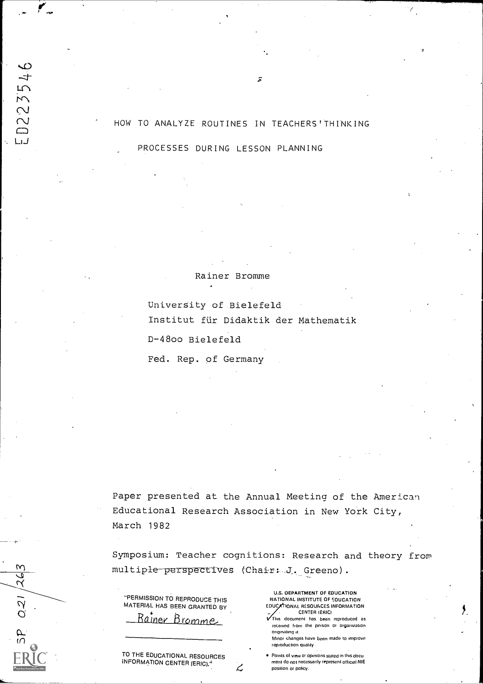### HOW TO ANALYZE ROUTINES IN TEACHERS'THINKING

F

PROCESSES DURING LESSON PLANNING

b

D22354

لساليا

 $\mathsf{M}$ 

021/26

Rainer Bromme

University of Bielefeld Institut für Didaktik der Mathematik D-4800 Bielefeld

Fed. Rep. of Germany

Paper presented at the Annual Meeting of the American Educational Research Association in New York City, March 1982

Symposium: Teacher cognitions: Research and theory from  $multiple-perspectives$  (Chair  $\ldots$ J. Greeno).

پر

| "PERMISSION TO REPRODUCE THIS |  |
|-------------------------------|--|
| MATERIAL HAS BEEN GRANTED BY  |  |

MATERIAL HAS BEEN GRANTED BY<br><u>- Rainer Bromme</u>

TO THE EDUCATIONAL RESOURCES INFORMATION CENTER (ERIC).<sup>4</sup>

U.S. DEPARTMENT OF EDUCATION NATIONAL INSTITUTE OF EDUCATION EDUCATIONAL RESOURCES INFORMATION CENTER IERICI This document has been reproduced as

received from the person or organization originating it. Minor changes have been made to Improve

reproduction quality

. Points of view or opinions stated in this docu ment do not necessarily represent official NIE position or policy.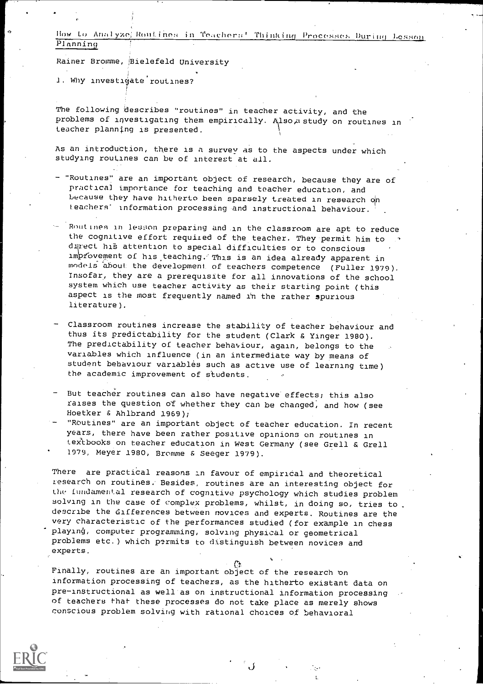How to Analyze, Routines in Teachers' Thinking Processes During Lesson Planning

Rainer Bromme, Bielefeld University

1. Why investigate routines?

The following describes "routines" in teacher activity, and the problems of investigating them empirically. Also ustudy on routines in teacher planning is presented.

As an introduction, there is a survey as to the aspects under which studying routines can be of interest at all.

- "Routines" are an important object of research, because they are of practical importance for teaching and teaCher education, and because they have hitherto been sparsely treated in research on teachers' information processing and instructional behaviour.
- Routines in lesson preparing and in the classroom are apt to reduce<br>the cognitive effort required of the teacher. They permit him to durect his attention to special difficulties or to conscious improvement of his teaching. This is an idea already apparent in models 'about the development of teachers competence (Fuller 1979). Insofar, they are a prerequisite for all innovations of the school system which use teacher activity as their starting point (this aspect is the most frequently named in the rather 3purious literature).
- Classroom routines increase the stability of teacher behaviour and thus its predictability for the student (Clark & Yinger 1980). The predictability of teacher behaviour, again, belongs to the variables which influence (in an intermediate way by means of student behaviour variables such as active use of learning time) the academic improvement of students.
- But teacher routines can also have negative effects; this also raises the question of whether they can be changed, and how (see Hoetker & Ahlbrand 1969);
- "ROutines" are an important object of teacher education. In recent years, there have been rather positive opinions on routines in textbooks on teacher education in West Germany (see Grell & Grell 1979, Meyer 1980, Bromme & Seeger 1979).

There are practical reasons in favour of empirical and theoretical research on routines. Besides, routines are an interesting object for the fundamental research of cognitive psychology which studies problem solving in the case of complex problems, whilst, in doing so, tries to. describe the differences between novices and experts. Routines are the very characteristic of the performances studied (for example in chess playinej, computer programming, solving physical or geometrical problems etc.) which permits to distinguish between novices and experts.

17t. Finally, routines are an important object of the research en information processing of teachers, as the hitherto existent data on pre-instructional as well as on instructional information processing of teachers that these processes do not take place as merely shows conscious problem solving with rational choices of behavioral

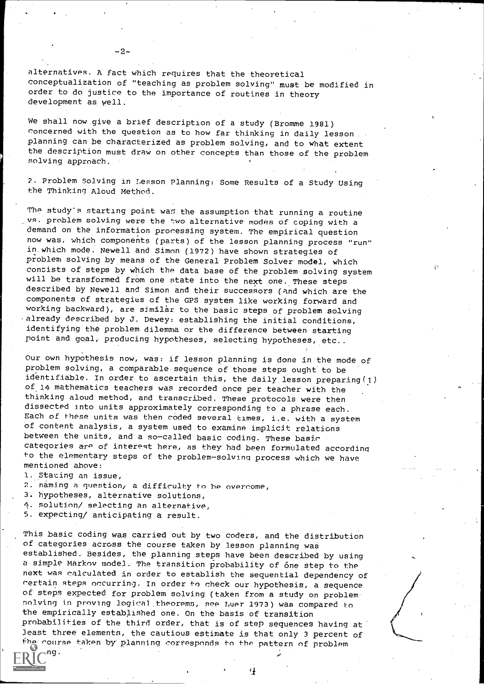alternatives. A fact which requires that the theoretical conceptualization of "teaching as problem solving" must be modified in order to do justice to the importance of routines in theory development as well.

We shall now give a brief description of a study (Bromme 1981) concerned with the question as to how far thinking in daily lesson planning can be characterized as problem solving, and to what extent the description must draw on other concepts than those of the problem solving approach.

2. Problem Solving in Lesson Planning: Some Results of a Study Using the Thinking Aloud Method.

The study's starting point was the assumption that running a routine vs. problem solving were the two alternative modes of coping with a demand on the information proressing system. The empirical question now was, which components (parts) of the lesson planning process "run" in.which mode. Newell and Simon (1972) have shown strategies of problem solving by means of the General Problem Solver model, which consists of steps by which the data base of the problem solving system will be transformed from one state into the next one. These steps described by Newell and Simon and their successors (and which are the components of strategies of the GPS system like working forward and working backward), are similar to the basic steps of problem solving already described by J. Dewey: establishing the initial conditions, identifying the problem dilemma or the difference between starting point and goal, producing hypotheses, selecting hypotheses, etc..

Our own hypothesis now, was: if lesson planning is done in the mode of problem solving, a comparable sequence of those steps ought to be identifiable. In order to ascertain this, the daily lesson preparing (1) of.14 mathematics teachers was recorded once per teacher with the thinking aloud method, and transcribed. These protocols were then dissected into units approximately corresponding to a phrase each. Each of these units was then coded several times, i.e. with a system of content analysis, a system used to examine implicit relations between the units, and a so-called basic coding. These basir categories are of interest here, as they had been formulated according to the elementary steps of the problem-solving process which we have mentioned above:

1. Stating an issue,

 $\Gamma$ ong.

2. naming a question, a difficulty to be overcome,

- 3. hypotheses, alternative solutions,
- 4. solution/ selecting an alternative',

5. expecting/ anticipating a result.

This basic coding was carried out by two coders, and the distribution of categories across the course taken by lesson planning wae established'. Besides, the planning steps have been described by using a simple Markov model. The transition probability of one step to the next was calculated in order to establish the sequential dependency of rertain steps occurring. In order to check our hypothesis, a sequence of steps expected for problem solving (taken from a study on problem nolving in proving logical, theorems, see Luer 1973) was compared to the empirically established one. On the basis of transition probabilities of the third order, that is of step sequences having at least three elements, the cautious estimate is that only 3 percent of the course taken by planning corresponds to the pattern of problem

-2-

4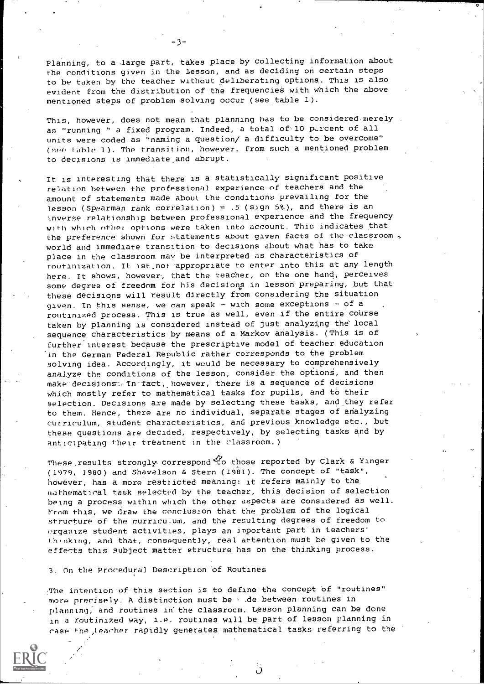Planning, to a large part, takes place by collecting information about the conditions given in the lesson, and as deciding on certain steps to be taken by the teacher without deliberating options- This is also evident from the distribution of the frequencies with which the above mentioned steps of problem solving occur (see table 1).

This, however, does not mean that planning has to be considered merely as "running " a fixed program. Indeed, a total of 10 percent of all units were coded as "naming a question/ a difficulty to be overcome" (see table 1). The transition, however, from such a mentioned problem to decisions is immediateand abrupt.

It is interesting that there is a statistically significant positive relation between the professional experience of teachers and the amount of statements made about the conditions prevailing for the lesson (Spearman rank correlation) =  $.5$  (sign 5%), and there is an Inverse relationship between professional experience and the frequency with which other options were taken into account. This indicates that the preference shown for statements about given facts of the classroom, world and immediate transition to decisions about what has to take place in the classroom may be interpreted as characteristics of routinization. It ist, not appropriate to enter into this at any length here. It shows, however, that the teacher, on the one hand, perceives some degree of freedom for his decisions in lesson preparing, but that these decisions will result directly from considering the situation given. In this sense, we can speak - with some exceptions - of a routinized process. This is true as well, even if the entire course taken by planning is considered instead of just analyzing the local sequence characteristics by means of a Markov analysis. (This is of further'interest because the prescriptive model of teacher education in the German Federal Republic rather corresponds to the problem solving idea. Accordingly, it would be necessary to comprehensively analyze the conditions of the lesson, consider the options, and then make decisions: In-fact, however, there is a sequence of decisions which mostly refer to mathematical tasks for pupils, and to their selection. Decisions are made by selecting these tasks, and they refer to them. Hence, there are no individual, separate stages of analyzing curriculum, student characteristics, and previous knowledge etc., but these questions are decided, respectively, by selecting tasks and by anticipating their treatment in the classroom.)

These results strongly correspond to those reported by Clark & Yinger (1979, 3980) and Shavelson & Stern (1981). The concept of "task", however, has a more restricted meaning: it refers mainly to the mathematical task selected by the teacher, this decision of selection being a process within which the other aspects are considered as well. From this, we draw the conclusion that the problem of the logical structure of the curriculum, and the resulting degrees of freedom to organize student activities, plays an important part in teachers. thenking, and that, consequently, real attention must be given to the effects this subject matter structure has on the thinking process.

### 3, On the Procedural Description of Routines

:Plie intention of this section is to define the concept of "routines" more precisely. A distinction must be  $\cdot$  .de between routines in planning; and routines in' the classroom. Lesson planning can be done in a routinized way, i.e. routines will be part of lesson planning in rase the,teacher rapidly generates-mathematiCal tasks referring to the

Ð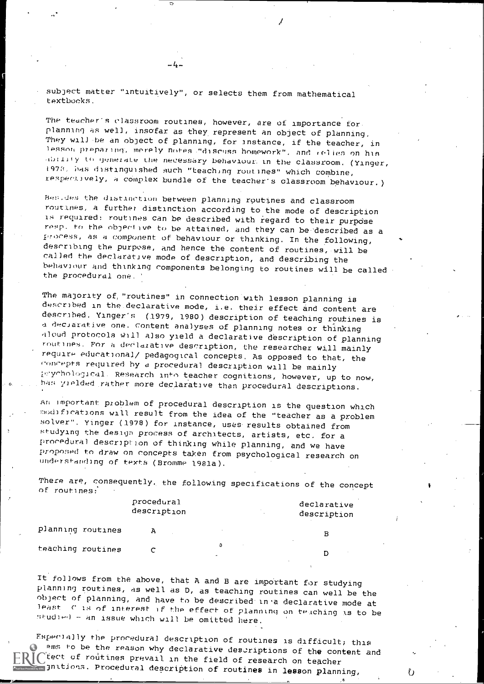subject matter "intuitively", or selects them from mathematical textbooks.

 $-4-$ 

The teacher's classroom routines, however, are of importance for planning as well, insofar as they represent an object of planning. They will-be an object of planning, for instance, if the teacher, in lesson preparing, merely notes "discuss homework", and relies on his hillify to generate the necessary behaviour. in the classroom, (Yinger, 197Ci, iras distinguished such "teaching routines" which combine, respectively, a complex bundle of the teacher's classroom behaviour.)

hes,des the distinction between planning routines and classroom routines, a further distinction according to the mode of description is required: routines can be described with regard to their purpdse resp. to the objective to be attained, and they can be described as a process, as a component of behaviour or thinking. In the following, describing the purpose, and hence the content of routines, will be called the declarative mode of description, and describing the behaviour and thinking components belonging to routines will be called the procedural one.

The majority of, "routines" in connection with lesson planning is described in the.declarative mode, i.e. their effect and content are described. Yinger's (1979, 1980) description of teaching routines is deciarative one, content analyses of planning notes or thinking aloud protocols Will also yield a declarative description of planning routines. For a declarative description, the researcher will mainly require educational/ pedagogical concepts. As opposed to that, the concepts required by a procedural description will be mainly prychological. Research into teacher cognitions, however, up to now, has yielded rather more declarative than procedural descriptions.

An important problem of procedural description is the question which modifications will result from the idea of the "teacher as a problem solver". Yinger (1978) for instance, uses results obtained from studying the design process of architects, artists, etc, for a procedural description of thinking while planning, and we have propned to draw on concepts taken from psychological research on understanding of texts (Bromme 1981a).

There are, consequently, the following specifications of the concept of routines:.

|          | procedural<br>description | declarative<br>description |
|----------|---------------------------|----------------------------|
| routines |                           | в                          |

teaching routines

planning

It follows from the above, that A and B are important for studying planning routines, as well as D, as teaching routines can well be the beast of is of interest if the effect of planning on teaching is to be studied - an issue which will be omitted here.

Fspecially the procedural description of routines is difficult; this  $\bullet$  ams to be the reason why declarative descriptions of the content and  $\mathbb{R}$   $\mathbb{C}$  tect of routines prevail in the field of research on teacher  $\Box$  jnitions. Procedural description of routines in lesson planning,

b

D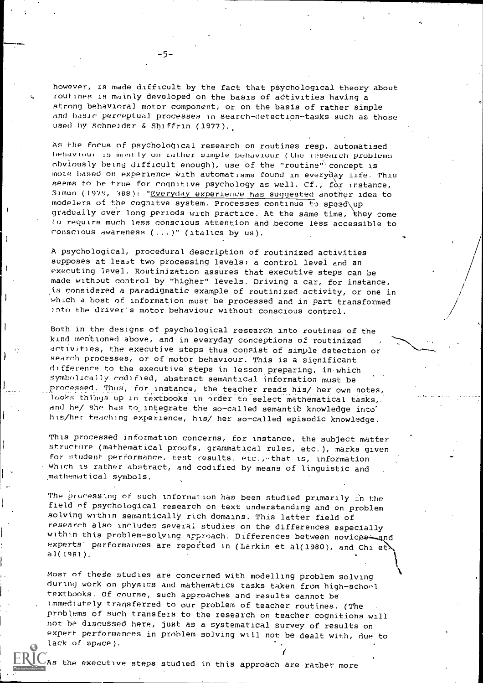however, is made difficult by the fact that psychological theory about routines is mainly developed on the basis of adtivities having a strong behavioral motor component, or on the basis of rather simple and basic perceptual processes in search-detection-tasks such as those used hy schneider & Shiffrin (1977).

As the focus of psychological research on routines resp. automatised behaviour is mostly on rather.simple behaviour (the research problems obviously being difficult enough), use of the "routine' concept is mote based on experience with automatisms found in everyday life. This seems to be true for cognitive psychology as well. Cf.,  $\overrightarrow{f}$  instance, Simon (1979, 388): "Everyday experience has suggested another idea to modelers of the cognitve system. Processes continue to speed\up gradually over long periods with practice. At the same time, they come to require much less conscious attention and become less accessible to consciou8 awareness (...)" (italics by us).

A psychological, procedural description of routinized activities supposes at least two processing levels: a control level and an executing level. Routinization assures that executive steps can be made without control by "higher" levels. Driving a car, for instance, .is considered a paradigmatic example of routinized activity, or one in which a host of information must be processed and in part transformed into the drivet's motor behaviour without conscious control.

Both in the designs of psychological research into routines of the kind mentioned above, and in everyday conceptions of routinized activities, the executive steps thus consist of simple detection or search processes, or of motor behaviour. This is a significant difference to the executive steps in lesson preparing, in which symbolically codified, abstract semantical information must be processed. Thus, for instance, the teacher reads his/ her own notes, looks things up in textbooks in order to select mathematical tasks, and he/ she has to integrate the so-called semantic knowledge into' his/her teaching experience, his/ her so-called episodic knowledge.

This processed information concerns, for Instance, the subject matter structure (mathematical proofs, grammatical rules, etc.), marks given for student performance, test results, etc.,-that is, Information which is rather abstract, and codified by means of linguistic and mathematical symbols.

The processing of such information has been studied primarily in the field of psychological research on text understanding and on problem solving within semantically rich domains. This latter field of research also includes several studies on the differences especially within this problem-solving approach. Differences between novices-and experts performances are reported in (Larkin et al(1980), and Chi et al(1981).

Most of these studies are concerned with modelling problem solving during work on physics and mathematics tasks taken from high-school textbooks. Of course, such approaches and results cannot be immediately transferred to our problem of teacher routines. (The problems of such transfers to the research on teacher cognitions will not be discussed here, just as a systematical survey of results on expert performances in problem solving will not be dealt with, due to lack of space).

As the executive steps studied in this approach are rather more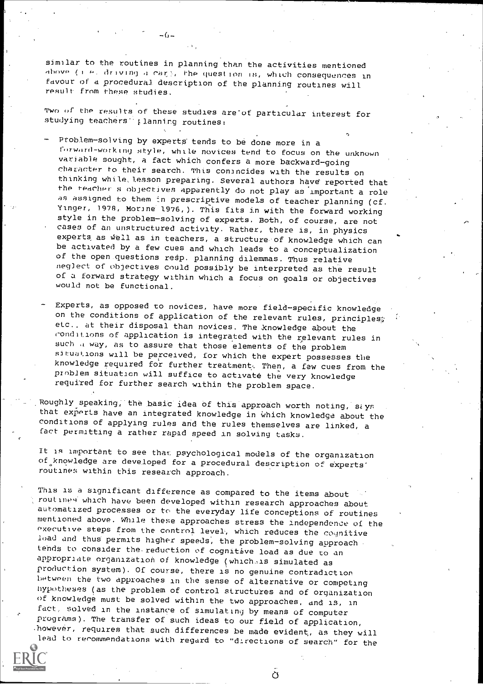similar to the routines in planning than the activities mentioned above (I P. driving a reir, the question is, which consequences in favour of a procedural description of the planning routines will result from these studies.

Two of the results of these studies are of particular interest for studying teachers<sup>1</sup> planning routines:

Problem-solving by experts tends to be done more in a forward-working style, while novices tend to focus on the unknown variable sought, a fact which confers a more backward-going character to their search. This conancides with the results on thinking while, lesson preparing. Several authors have reported that the teacher s objectives apparently do not play as important a role as assigned to them in prescriptive models of teacher planning (cf. Yinger, 1978, Morine 1976, ). This fits in with the forward working style in the problem-solving of experts. Both, of course, are not cases of an unstructured activity. Rather, there is, in physics experts as well as in teachers, a structure of knowledge which can be activated by a few cues and which leads to a conceptualization of the open questions resp. planning dilemmas. Thus relative neglect of objectives could possibly be interpreted as the result of a forward strategy within which a focus on goals or objectives would not be functional.

Experts, as opposed to novices, have more field-specific knowledge on the conditions of application of the relevant rules, principles $\hat{x}$ elc., at their disposal than novices. The knowledge about the conditions of application is integrated with the relevant rules in such a way, as to assure that those elements of the problem situations will be perceived, for which the expert possesses the knowledge required for further treatment:. Then, a few cues from the problem situation will suffice to activate the very knowledge required for further search within the problem space.

Roughly speaking, the basic idea of this approach worth noting, siys that experts have an integrated knowledge in which knowledge about the conditions of applying rules and the rules themselves are linked, a fact permitting a rather rapid speed in solving tasks.

It is important to see that psychological models of the organization of knowledge are developed for a procedural description of experts' routines within this research approach.

This is a significant difference as compared to the items about routiney which have been developed within research approaches about automatized processes or to the everyday life conceptions of routines mentioned above. Whale these approaches stress the Independence of the executive steps from the control level, which reduces the cognitive load and thus permits higher speeds, the problem-solving approach tends to consider the reduction of cognitive load as due to an appropriate organization of knowledge (which,is simulated as production system). Of course, there is no genuine contradiction between the two approaches in the sense of alternative or competing hypotheses (as the problem of control structures and of organization<br>of knowledge must be solved within the two approaches, and is, in fact, solved in the instance of simulating by means of computer programs). The transfer of such ideas to our field of application, .110wever, requires that such differences be made evident, as they will lead to recommendations with regard to "dlrections of search" for the



 $\overline{O}$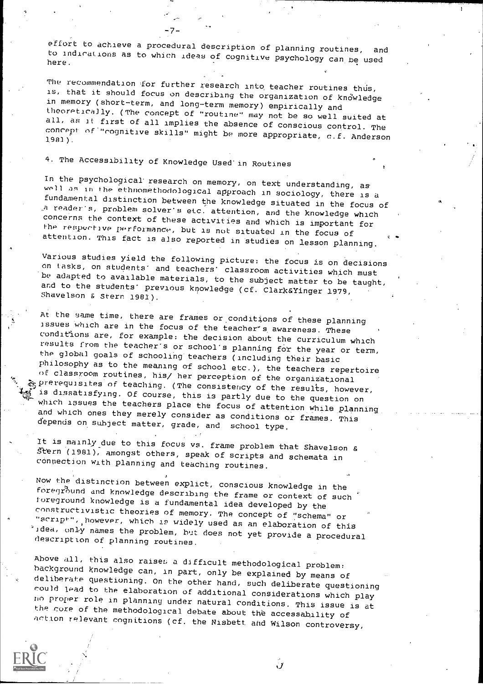effort to achieve a procedural description of planning routines, to indications as to which ideas of cognitive psychology can be used<br>here.

The recommendation for further research into teacher routines thus,<br>is, that it should focus on describing the organization of knowledge<br>in memory (short-term, and long-term memory) empirically and theoretically. (The concept of "routine" may not be so well suited at<br>all, as it first of all implies the absence of conscious control. The<br>concept of "rognitive skills" might be more appropriate, c.f. Anderson<br>1981).

# 4. The Accessibility of Knowledge Used'in Routines

In the psychological research on memory, on text understanding, as<br>well as in the ethnomethodological approach in sociology, there is a<br>fundamental distinction between the knowledge situated in the focus of<br>a reader's, pro

Various studies yield the following picture; the focus is on decisions<br>on tasks, on students' and teachers' classroom activities which must<br>be adapted to available materials, to the subject matter to be taught,<br>and to the

At the same time, there are frames or conditions of these planning<br>issues which are in the focus of the teacher's awareness. These<br>conditions are, for example: the decision about the curriculum which results from the teacher's or school's planning for the year or term,<br>the global goals of schooling teachers (including their basic<br>philosophy as to the meaning of school etc.), the teachers repertoire<br>of classroom routine

It is mainly due to this focus vs. frame problem that Shavelson & Stern (1981), amongst others, speak of scripts and schemata in connection with planning and teaching routines.

Now the distinction between explict, conscious knowledge in the foreground and knowledge describing the frame or context of such foreground knowledge is a fundamental idea developed by the constructivistic theories of memo "script", however, which is widely used as an elaboration of this<br>idea, only names the problem, but does not yet provide a procedural<br>description of planning routines.

Above all, this also raises a difficult methodological problem:<br>background knowledge can, in part, only be explained by means of<br>deliberate questioning. On the other hand, such deliberate questioning<br>could lead to the elab

Ĵ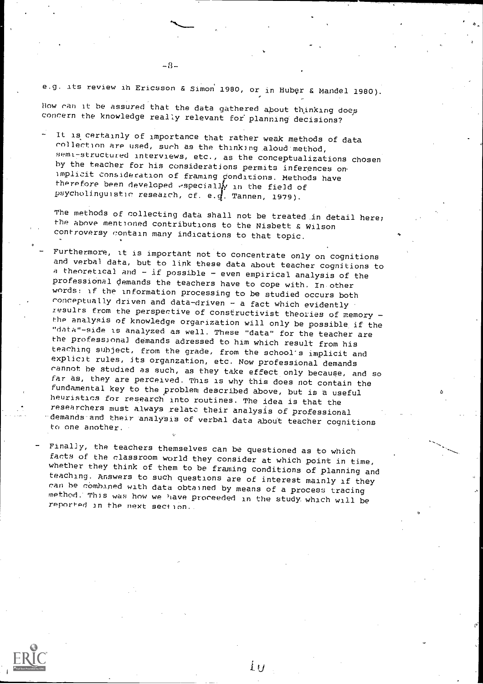e.g. its review in Ericsson & Simon 1980, or in Huber & Mandel 1980).

How ran it be assured that the data gathered about thinking does concern the knowledge really relevant for planning decisions?

It is certainly of importance that rather weak methods of data collection are used, such as the thinking aloud method, semi-structured interviews, etc., as the conceptualizations chosen by the teacher for his considerations permits inferences onimplicit consideration of framing Oonditions. Methods have therefore been developed especially in the field of psycholinguistic research, cf. e.4. Tannen, 1979).

The methods of collecting data shall not be treated in detail here; the above mentioned contributions to the Nisbett & Wilson controversy contain many indications to that topic.

- Furthermore, it is important not to concentrate only on cognitions and verbal data, but to link these data about teacher cognitions to a theoretical and  $-$  if possible  $-$  even empirical analysis of the professiOnal demands the teachers have to cope with. In other words: if the information processing to be studied occurs both conceptually driven and data-driven - a fact which evidently results from the perspective of constructivist theories of memory the analysis of knowledge organization will only be possible if the "data"-side is analyzed as well. These "data" for the teacher are the professional demands adressed to him which result from his teaching subject, from the grade, from the school's implicit and explicit rules, its organzation, etc. Now professional demands cannot be studied as such, as they take effect only becaupe, and so far as, they are perceived. This is why this does not contain the fundamental key to the problem described above, but is a useful heuristics for research into routines. The idea is that the researchers must always xelatc their analysis of professional demands and their analysis of verbal data about teacher cognitions to one another.
- Finally, the teachers themselves can be questioned as to which<br>facts of the classroom world they consider at which point in time, whether they think of them to be framing conditions of planning and<br>teaching. Answers to such questions are of interest mainly if they ran be cOmbaned with data obtained by means of a process tracing method. This was how we have proceeded in the study which will be reported in the next section.

İП

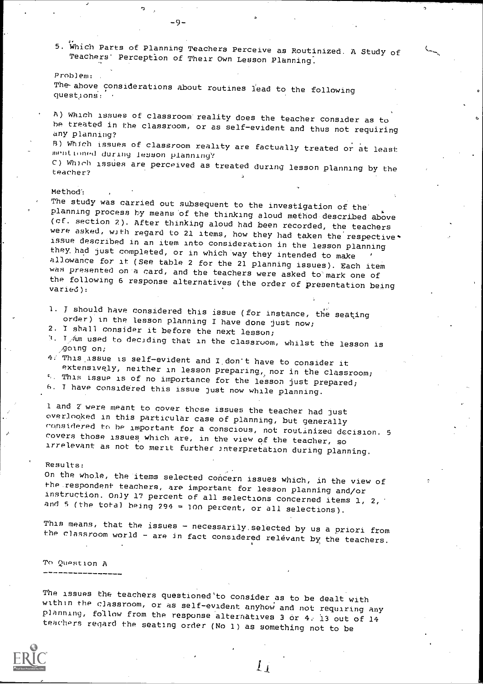5. Which Parts of Planning Teachers Perceive as Routinized. A Study of Teachers' Perception of Their Own Lesson Planning.

Problem: The above considerations about routines lead to the following questions.: '

-9-

A) Which issues of classroom reality does the teacher consider as to be treated in the classroom, or as self-evident and thus not requiring any planning?

R) Which issues of classroom reality are factually treated or at least mentioned during lesson planning?

C) Which issues are perceived as treated during lesson planning by the teacher?

### Method':

The study was carried out subsequent to the investigation of the<br>planning process by means of the thinking aloud method described above of. section 2). After thinking aloud had been recorded, the teachers (cf. section 2). After thinking aloud had been recorded, the teachers issue described in an item into consideration in the lesson planning<br>they had just completed, or in which way they intended to make allowance for it (See table 2 for the 21 planning issues). Each item<br>was presented on a card, and the teachers were asked to mark one of<br>the following 6 response alternatives (the order of presentation being<br>varied):

1. J should have considered this issue (for instance, the seating order) in the lesson planning I have done just now;

- 2, 1 shall consider it before the next lesson;
- $T$   $\frac{1}{4}$  am used to deciding that in the classroom, whilst the lesson is  $\frac{1}{2}$  going on;
- 4: This issue is self-evident and I don't have to consider it<br>extensively, neither in lesson preparing, nor in the classroom;
- $\sim$  This issue is of no importance for the lesson just prepared;

h. T have considered this issue just now while planning.

1 and 2' were meant to cover those issues the teacher had just<br>overlooked in this particular case of planning, but generally<br>considered to be important for a conscious, not routinized decision. 5 covers those issues which are, in the view of the teacher, so<br>irrelevant as not to merit further interpretation during planning.

#### Results:

On the whole, the items selected concern issues which, in the view of<br>the respondent teachers, are important for lesson planning and/or instruction. Only 17 percent of all selections concerned items 1, 2, and 5 (the total being 294 = 100 percent, or all selections).

This means, that the issues - necessarily selected by us a priori from<br>the classroom world - are in fact considered relevant by the teachers.

To Question A

The issues the teachers questioned'to consider as to be dealt with<br>within the classroom, or as self-evident anyhow and not requiring any planning, follow from the response alternatives 3 or 4; 13 out of 14<br>teachers regard the seating order (No 1) as something not to be



 $\mathfrak{l}_{\mathfrak{X}}$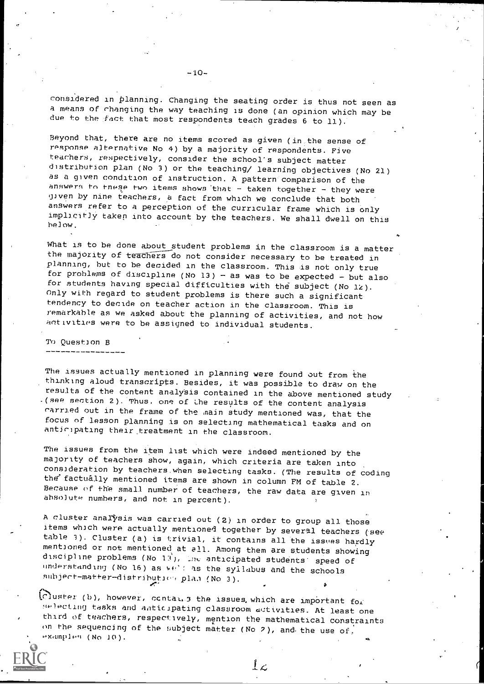considered in Planning. Changing the seating order is thus not seen as a means of rhanging the way teaching is done (an opinion which may be due to the fact that most respondents teach grades 6 to 11).

Beyond that, there are no items scored as given (in:the sense of response alternative No 4) by a majority of respondents. Five teachers, respectively, consider the school's subject matter distribution plan (No 3) or the teaching/ learning objectives (No 21) as a given condition of instruction. A pattern comparison of the answers to these two items shows that  $-\frac{1}{3}$  taken together - they were given by nine teachers, e fact from which we conclude that both answers refer to a perception of the curricular frame which is only implicitly taken into account by the teachers. We shall dwell on this below.

What is to be done about student problems in the classroom is a matter the majority of teachers do not consider necessary to be treated in planning, hut to he decided in the classroom. This is not only true for problems of discipline (No  $13$ ) - as was to be expected - but also for students having special difficulties with the subject (No  $12$ ). Only with regard to student problems is there such a significant tendency to decide on teacher action in the classroom. This is remarkable as we asked about the planning of activities, and not how aotivities were to be assigned to individual students.

To Question B

The issues actually mentioned in planning were found out from the thinking aloud transcripts. Besides, it was possible to draw on the results of the content analysis contained in the above mentioned study .(see section 2). Thus, one of the results of the content analysis carried out in the frame of the main study mentioned was, that the focus of lesson planning is on selecting mathematical tasks and on anticipating their treatment in the classroom.

The issues from the item list which were indeed mentioned by the majority of teachers show, again, which criteria are taken into consideration by teachers,when selecting tasks. (The results of coding the' factually mentioned items are shown in column FM of table 2. Because of th'e small number of teachers, the raw data are given in abso)ute numbers, and not in percent).

A cluster analysis was carried out  $(2)$  in order to group all those items which were actually mentioned together by several teachers (see table 3). Cluster (a) is trivial, it contains all the issues hardly mentioned or not mentioned, at all. Among them are students showing discipline problems (No 13), ine anticipated students speed of understanding (No 16) as  $w^*$ : as the syilabus and the schools subject-matter-distribution plan (No 3).

 $\bigcap$ uster (b), however, contai..3 the issues which are important for 1...cting tasks and aoticipating classroom ativities. At least one third of teachers, respectively, mention the mathematical constraints on the sequencing of the subject matter (No 2), and the use of, Pxamples (No 10).

 $\perp$   $\angle$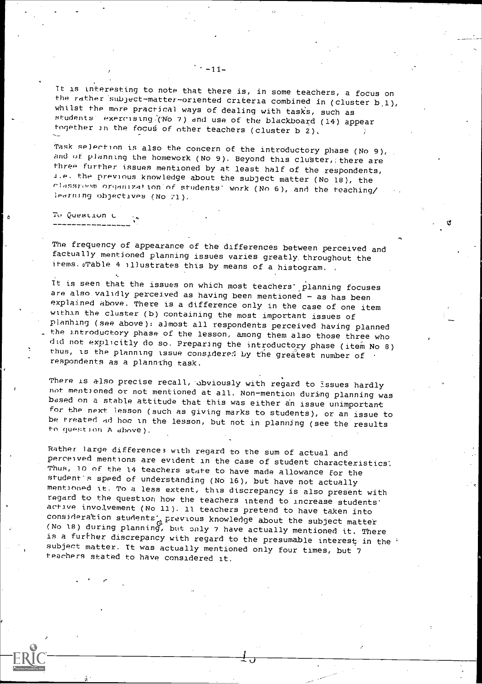It is interesting to note that there is, in some teachers, a focus on the rather subject-matter-oriented criteria combined in (cluster  $b_1$ ), whilst the more practical ways of dealing with tasks, such as students exercising.(No 7) and use of the blackboard (14) appear together in the fooug, of other teachers (cluster b 2),

Task selection is also the concern of the introductory phase (No 9), and of planning the homework (No 9). Beyond this cluster, there are three further issues mentioned by at least half of the respondents, I.e. the previous knowledge about the subject matter (No 18), the classroom organization of students' work (No 6), and the teaching/ learning objectives (No 21).

# To QuesLivn L

The frequency of appearance of the differences between perceived and factually mentioned planning issues varies greatly, throughout the items. Jable 4 illustrates this by means of a histogram.

It is seen that the issues on which most teachers' planning focuses are also validly perceived as having been mentioned  $-$  as has been explained above. There is a difference only in the case of one item within the cluster (b) containing the most important issues of planhing (see above): almost all respondents perceived having planned the introductory phase of the lesson, among them also those three who did not explicitly do so. Preparing the introductory phase (item No 8) thus, is the planning issue considered by the greatest number of respondents as a planning task.

There is also precise recall, obviously with regard to issues hardly not mentioned or not mentioned at all. Non-mention during planning was based on a stable attitude that this was either an issue unimportant for the next lesson (such as giving marks to students), or an issue to be treated ad hoc in the lesson, but not in planning (see the results to question A above).

Rather large differences with regard to the sum of actual and perceived mentions are evident in the case of student characteristics Thus, 10 of the 14 teachers state to have made allowance for the student's speed of understanding (No 16), but have not actually mentiOned it. To a less extent, this discrepancy is also present with regard to the question how the teachers intend to increase students' active invo.lvement (No 11). 11 teachers pretend to have taken into consideration students' previous knowledge about the subject matter (No 18) during planning, but only 7 have actually mentioned it. There is a further discrepancy with regard to the presumable interest in the '<br>subject matter. It was actually mentioned only four times, but 7 teachers stated to have considered it.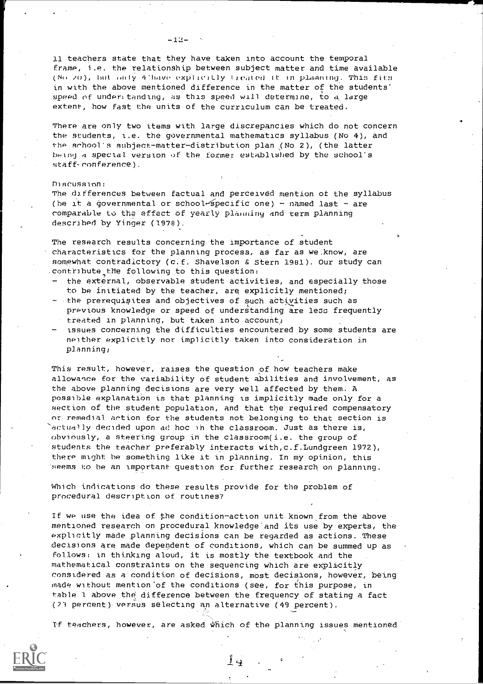### $-12-$

11 teachers state that they have taken into account the temporal frame, i.e. the relationship between subject matter and time available (No. 20), but only 4 have explicitly treated it in plasming. This fits in with the above mentioned difference in the matter of the students' speed of underttanding, as this speed will determine, to a large extent, how fast the units of the curriculum can be treated.

There are only two items with large discrepancies which do not concern the students, i.e, the governmental mathematics syllabus (No 4), and the school's subject-matter-distribution plan (No 2), (the latter being a special version of the former established by the school's staff-conference).

### Discussion:

The differences between factual and perceived mention of the syllabus (be it a governmental or school-specific one) - named last - are comparable to the effect of yearly plaunlny and term planning described by Yinger (1978).

The research results concerning the importance of student characteristics for the planning process, as far as we.know, are somewhat Contradictory (c.f. Shavelson & Stern 1981). Our study can contribute the following to this question:

- the external, observable student activities, and especially those to be initiated by the teacher, are explicitly mentioned;
- the prerequisites and objectives of such activities such as previous knowledge or speed of understanding are less frequently treated in planning, but taken into account)
- issues concerning the difficulties encountered by some students are neither explicitly nor implicitly taken into consideration in planning;

This result, however, raises the question of how teachers make allowance for the variability of student abilities and involvement, as the above planning decisions are very well affected by them. A possible explanation is that planning is implicitly made only for a section of the student population, and that the required compensatory or remedial action for the students not belonging to that section is 'actually decided upon ad hoc in the classroom. just as there is, obviously, a steering group in the classroom(i.e. the group of students the teacher preferably interacts with,c.f.Lundgreen 1972), there might be something like it in planning. In my opinion, this 'seems to be an important question for further research, on planning.

Which indications do these results provide for the problem of procedural description of routines?

If we use the idea of the condition-action unit known from the above mentioned research on procedural knowledge'and its use by experts, the explicitly made planning decisions can be regarded as actions. These decisions are made dependent of conditions, which can be summed up as follows: in thinking aloud, it is mostly the textbook and the mathematical constraints on the sequencing which are explicitly considered as a condition of decisions, most decisdons, however, being made without mention of the conditions (see, for this purpose, in table 1 above the', difference between the frequency of stating a fact (21 percent) versus selecting an alternative (49 percent).

If teachers, however, are asked Which of the planning issues mentioned.



Li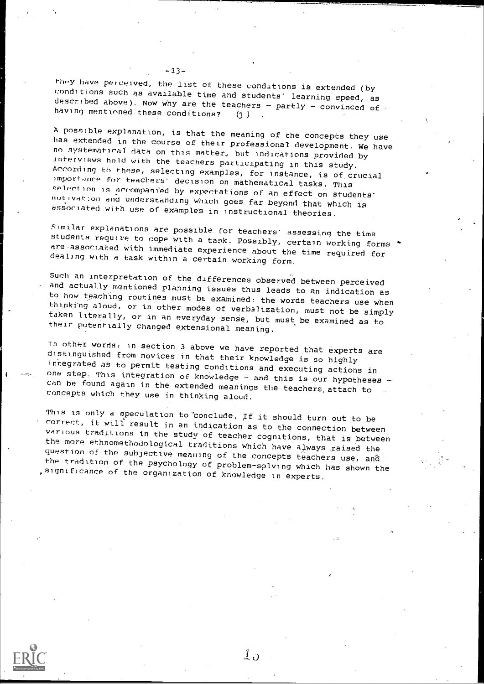-13-<br>they have perceived, the list of these conditions is extended (by conditions such as available time and students learning speed, as described above). Now why are the teachers - partly - convinced of having mentioned these conditions? (3) having mentioned these conditions?

A possible explanation, is that the meaning of the concepts they use has extended in the course of their professional development. We have no systematical data on this matter, but indications provided by interviews held wi According to these, selecting examples, for instance, is of crucial<br>importance for teachers' decision on mathematical tasks. This<br>selection is accompanied by expectations of an effect on students<br>motivation and understandi

Similar explanations are possible for teachers' assessing the time<br>students require to cope with a task. Possibly, certain working forms<br>are associated with immediate experience about the time required for<br>dealing with a t

Such an interpretation of the differences observed between perceived<br>and actually mentioned planning issues thus leads to an indication as to how teaching routines must be examined: the words teachers use when<br>thinking aloud, or in other modes of verbalization, must not be simply<br>taken literally, or in an everyday sense, but must be examined as to<br>their poten

In other words, in section 3 above we have reported that experts are<br>distinguished from novices in that their knowledge is so highly<br>integrated as to permit testing conditions and executing actions in<br>one step. This integr

This is only a speculation to conclude. If it should turn out to be<br>correct, it will result in an indication as to the connection between<br>various traditions in the study of teacher cognitions, that is between<br>the more ethn

 $\perp$ .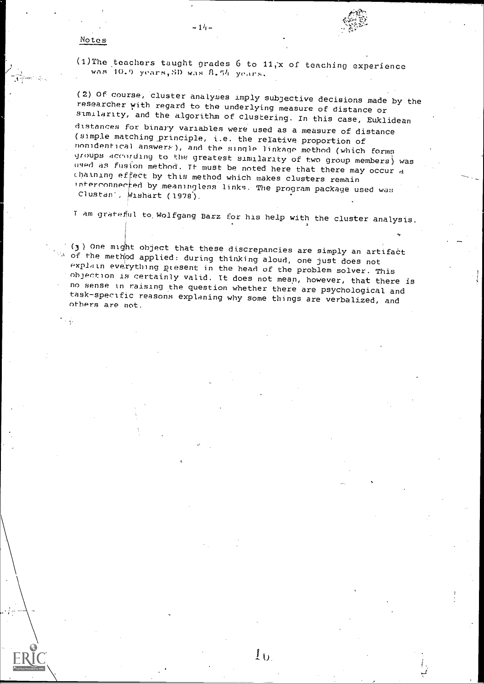### Notes

is g

(1)The teachers taught grades  $6$  to  $11, x$  of teaching experience was 10.0 years, SD was 8.54 years.

(2) Of course, cluster analyses imply subjective decisions made by the researcher with regard to the underlying measure of distance or similarity, and the algorithm of clustering. In this case, Euklidean distances for binary variables were used as a measure of distance (simple matching principle, i.e. the relative proportion of nonidentical answers), and the single linkage method (which forms<br>groups according to the greatest similarity of two group members) was used as fusion method. It must be noted here that there may occur a chaining effect by this method which makes clusters remain interconnected by meaningless links. The program package used was Clustan', wishart (1978).

T am grateful to, Wolfgang Barz for his help with the cluster analysis.

(3) One might object that these discrepancies are simply an artifact<br>  $\alpha$  of the method applied: during thinking aloud, one just does not<br>
explain everything ptesent in the head of the problem solver. This<br>
objection is no sense in raising the question whether there are psychological and task-specific reasons explaning why some things are verbalized, and others are not.

 $1<sub>0</sub>$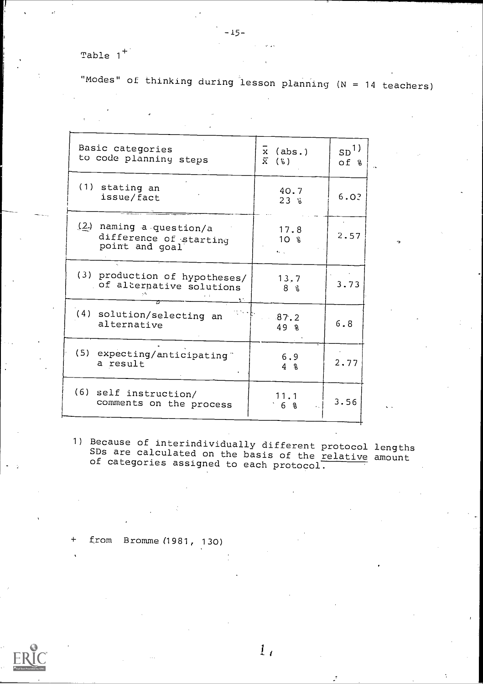Table  $1^+$ 

"Modes" of thinking during lesson planning (N = 14 teachers)

| Basic categories<br>to code planning steps                          | $x$ (abs.)<br>$\widetilde{X}$ (%) | SD <sup>1</sup><br>$of$ $\frac{a}{b}$ |  |
|---------------------------------------------------------------------|-----------------------------------|---------------------------------------|--|
| (1) stating an<br>issue/fact                                        | 40.7<br>23%                       | 6.0?                                  |  |
| (2) naming a question/a<br>difference of starting<br>point and goal | 17.8<br>$10 \text{ }$ %<br>As the | 2.57                                  |  |
| (3) production of hypotheses/<br>of alternative solutions           | 13,7<br>8 %                       | 3.73                                  |  |
| (4) solution/selecting an<br>alternative                            | 87.2<br>49 R                      | 6.8                                   |  |
| (5) expecting/anticipating"<br>a result                             | 6.9<br>$4\degree$                 | 2.77                                  |  |
| (6) self instruction/<br>comments on the process                    | 11.1<br>6 %                       | 3.56                                  |  |

1) Because of interindividually different protocol lengths SDs are calculated on the basis of the relative amount of categories assigned to each protocol.

 $1<sub>1</sub>$ 

+ from Bromme (1981, 130)



-15-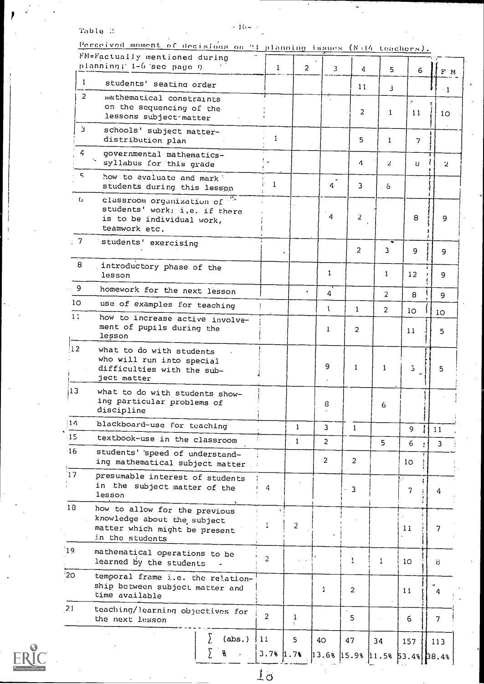## Table  $\Omega$  - To-

 $ER_{\text{C}}^{\text{O}}$ 

|                 | <u>Perceived moment of decisions on 21 planning issues (N:14 teachers).</u>                                      |              |                |                |                |                |                |                 |                                       |  |
|-----------------|------------------------------------------------------------------------------------------------------------------|--------------|----------------|----------------|----------------|----------------|----------------|-----------------|---------------------------------------|--|
|                 | FM=Factually mentioned during<br>planning; 1-6 see page 9                                                        |              | $\mathbf{1}$   | $\overline{2}$ | 3              | 4              | 5              | 6               | F M                                   |  |
| $\mathbf{1}$    | students' seating order                                                                                          |              |                |                |                | 11             | 3              |                 | $-1$                                  |  |
| 2               | mathematical constraints<br>on the sequencing of the<br>lessons subject matter                                   |              |                |                |                | 2              | 1              | ÿ.<br>11        | 10 <sub>o</sub>                       |  |
| з               | schools' subject matter-<br>distribution plan                                                                    |              | $\mathbf{1}$   |                |                | 5              | $\mathbf{1}$   | 7               |                                       |  |
| 4               | governmental mathematics-<br>syllabus for this grade                                                             |              |                |                |                | 4              | $\mathbf{z}$   | n,              | $\mathbf{z}$                          |  |
| 5               | how to evaluate and mark<br>students during this lesson                                                          |              | 1              |                | $\ddot{q}$     | 3              | . 6            |                 |                                       |  |
| - 6             | classroom organization of "<br>students' work; i,e, if there<br>is to be individual work,<br>teamwork etc.       |              |                |                | 4              | 2              |                | 8               | 9                                     |  |
| $\pm$ 7         | students' exercising                                                                                             |              |                | ¥.             |                | $\overline{2}$ | 3              | 9               | 9                                     |  |
| 8               | introductory phase of the<br>lesson                                                                              |              |                |                | $\mathbf{1}$   |                | $\mathbf{1}$   | 12              | 9                                     |  |
| - 9             | homework for the next lesson                                                                                     |              |                |                | 4              |                | $\overline{2}$ | 8               | 9                                     |  |
| 10 <sub>o</sub> | use of examples for teaching                                                                                     |              |                |                | $\mathbf{1}$   | 1              | $\overline{2}$ | 10              | 10                                    |  |
| 11              | how to increase active involve-<br>ment of pupils during the<br>lesson                                           |              |                |                | $\mathbf{1}$   | $\overline{2}$ |                | 11              | 5                                     |  |
| 12              | what to do with students<br>who will run into special<br>difficulties with the sub-<br>ject matter               |              |                |                | 9              | $\mathbf{1}$   | $\mathbf{1}$   | 3.              | 5                                     |  |
| 13              | what to do with students show-<br>ing particular problems of<br>discipline                                       |              |                |                | 8              |                | 6              |                 |                                       |  |
| 14              | blackboard-use for teaching                                                                                      |              |                | $\mathbf{1}$   | 3              | $\mathbf{1}$   |                | 9               | 11                                    |  |
| :15             | textbook-use in the classroom                                                                                    |              |                | $\mathbf{1}$   | $\overline{a}$ |                | 5              | 6               | 3                                     |  |
| $-16$           | students' speed of understand-<br>ing mathematical subject matter                                                |              |                |                | 2              | $\overline{2}$ |                | 10              |                                       |  |
| 17              | presumable interest of students<br>in the subject matter of the<br>lesson                                        |              | 4              |                |                | $\sim$ 3       |                | 7               | 4                                     |  |
| 18              | how to allow for the previous<br>knowledge about the subject<br>matter which might be present<br>in the students |              | 1              | $\overline{c}$ |                |                |                | 11              | 7                                     |  |
| 19              | mathematical operations to be<br>learned by the students                                                         |              | 2              |                |                | $\mathbf{1}$   | 1              | 10 <sup>°</sup> | 8                                     |  |
| 20              | temporal frame i.e. the relation-<br>ship between subject matter and<br>time available                           |              |                |                | 1              | 2              |                | 11              | 4                                     |  |
| 21              | teaching/learning objectives for<br>the next lesson                                                              |              | $\overline{2}$ | $\frac{1}{2}$  |                | 5              |                | 6               | 7                                     |  |
|                 |                                                                                                                  | (abs.)<br>s. | 11<br>3.781.71 | 5              | 40             | 47             | 34             | 157             | 113                                   |  |
|                 |                                                                                                                  |              |                |                |                |                |                |                 | $13.6%$ $15.9%$ $11.5%$ $53.4%$ 38.4% |  |

 $\frac{1}{6}$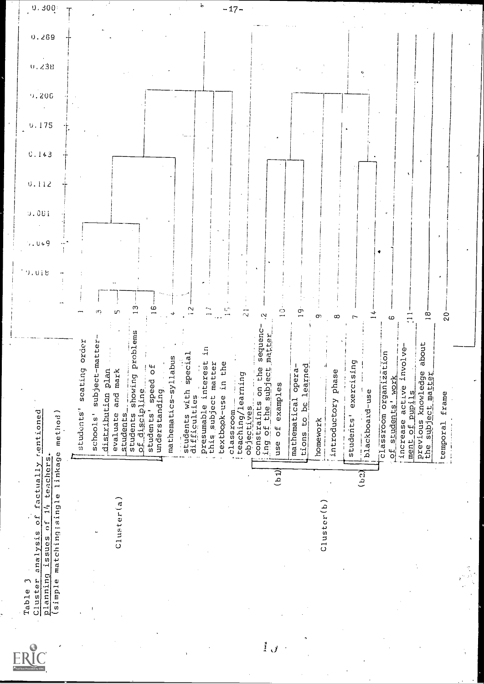|               | $\mathbf{\hat{z}}$<br>Table |                                                                                                              |                                                                                  | 0.016                    |                |       |                |       |       |                            |
|---------------|-----------------------------|--------------------------------------------------------------------------------------------------------------|----------------------------------------------------------------------------------|--------------------------|----------------|-------|----------------|-------|-------|----------------------------|
|               | Cluster                     | factually rention<br>(simple matching;single linkage metho<br>planning issues of 14 teachers.<br>analysis of | $\mathbf{e}^{\mathbf{d}}$<br>ਉ                                                   |                          | 9.061<br>, 0.9 | 0.112 | 0.175<br>0.143 | 9.206 | 0.238 | $0\,,\,300^\circ$<br>0.269 |
|               |                             |                                                                                                              |                                                                                  |                          |                |       |                |       |       |                            |
|               |                             |                                                                                                              | seating order<br>students'                                                       |                          |                |       |                |       |       |                            |
|               |                             |                                                                                                              | subject-matter<br>-<br>ທ<br>school                                               | m                        |                |       |                |       |       |                            |
|               |                             |                                                                                                              | distribution plan                                                                |                          |                |       |                |       |       |                            |
|               |                             | $\text{Cluster}(a)$                                                                                          | and mark<br>students_<br>evaluate                                                |                          |                |       |                |       |       |                            |
|               |                             |                                                                                                              | showing problems<br>students showir<br>of discipline                             |                          |                |       |                |       |       |                            |
|               |                             |                                                                                                              | speed of<br>students'                                                            | ω                        |                |       |                |       |       |                            |
|               |                             |                                                                                                              | mathematics-syllabus<br>understanding                                            |                          |                |       |                |       |       |                            |
|               |                             |                                                                                                              | students with special<br>difficulties                                            |                          |                |       |                |       |       |                            |
|               |                             |                                                                                                              | presumable interest in                                                           |                          |                |       |                |       |       | è                          |
|               |                             |                                                                                                              | this subject matter<br>textbook-use in the                                       |                          |                |       |                |       |       |                            |
|               |                             |                                                                                                              | classroom                                                                        |                          |                |       |                |       |       | $-17-$                     |
|               |                             |                                                                                                              | teaching/learning<br>objectives                                                  | $\overline{\mathcal{N}}$ |                |       |                |       |       |                            |
| $\mathcal{L}$ |                             |                                                                                                              | sequenc-<br>the subject matter<br>$\frac{1}{2}$ on the<br>constraints<br>ing of  |                          |                |       |                |       |       |                            |
|               |                             | টিতা                                                                                                         | examples<br>$\overline{0}$<br>use                                                | ġ                        |                |       |                |       |       |                            |
|               |                             |                                                                                                              | mathematical opera-<br>$rac{16}{26}$<br>tions                                    | σ                        |                |       |                |       |       |                            |
|               |                             |                                                                                                              | learned<br>homework                                                              | Œ,                       |                |       |                |       |       |                            |
|               |                             | $C1$ uster $(b)$                                                                                             |                                                                                  |                          |                |       |                |       |       |                            |
|               |                             |                                                                                                              | introductory phase                                                               | $\infty$                 |                |       |                |       |       |                            |
|               |                             |                                                                                                              | exercising<br>students'                                                          |                          |                |       |                |       |       |                            |
|               |                             | (52)                                                                                                         | blackboard-use                                                                   |                          |                |       |                |       |       |                            |
|               |                             |                                                                                                              | classroom organization<br>of students' work                                      | 6                        |                |       |                |       |       |                            |
|               |                             |                                                                                                              | active involve-<br>ment of pupils<br>increase                                    | Ξ                        |                |       |                |       |       |                            |
|               |                             |                                                                                                              | about<br>previous knowledge<br>the subject matter<br>$\mathfrak{g}^{\mathsf{h}}$ | $\frac{1}{2}$            |                |       |                |       |       |                            |
|               |                             |                                                                                                              | frame<br>temporal                                                                | $\frac{1}{2}$            |                |       |                |       |       |                            |
|               |                             |                                                                                                              |                                                                                  |                          |                |       |                |       |       |                            |
|               |                             |                                                                                                              |                                                                                  |                          |                |       |                |       |       |                            |
|               |                             |                                                                                                              |                                                                                  |                          |                |       |                |       |       |                            |

 $\bar{\epsilon}$ 

 $\hat{\mathcal{A}}$ 

 $\cdot$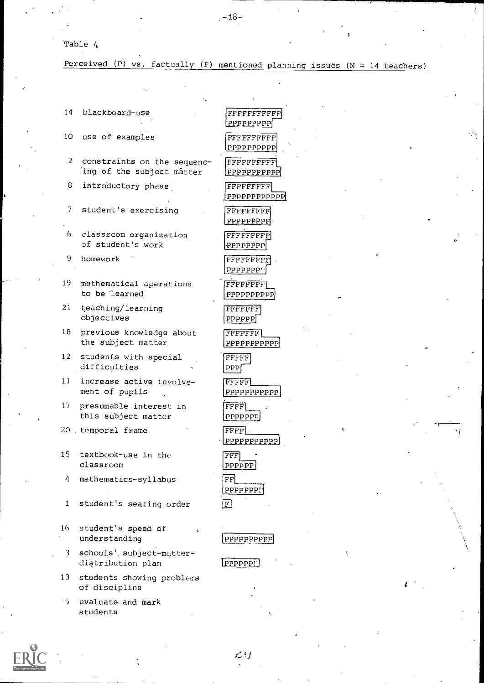-18--

Table  $l_t$ 

Perceived (P) vs. factually (F) mentioned planning issues ( $N = 14$  teachers)

| 14             | blackboard-use                                           | FFFI<br><b>PPPI</b>                         |
|----------------|----------------------------------------------------------|---------------------------------------------|
| 10             | use of examples                                          | FFFI<br> PPPI                               |
| 2              | constraints on the sequenc-<br>ing of the subject matter | FFFF<br>PPPI)                               |
| 8              | introductory phase                                       | FFFF<br>PPPF                                |
| $\overline{1}$ | student's exercising                                     | $\mathop{\rm FFF}\nolimits$<br><u> PPPF</u> |
| 6              | classroom organization<br>of student's work              | FFFF                                        |
| 9              | homework                                                 | FFFF<br>PPPF                                |
| 19             | mathematical operations<br>to be learned                 | FFFF<br>PPPP                                |
| 21             | teaching/learning<br>objectives                          | FFFF<br>PPPP                                |
| 18             | previous knowledge about<br>the subject matter           | FFFF<br>PPPP                                |
| 12             | students with special<br>difficulties                    | FFFF<br>PPP                                 |
| 11             | increase active involve-<br>ment of pupils               | FFFF<br>PPPP                                |
| 17             | presumable interest in<br>this subject matter            | FFFF<br>PPPP                                |
| 20.            | temporal frame                                           | FFFF<br>$\cdot$ [PPPP                       |
| 15             | textbook-use in the<br>classroom                         | <b>FFF</b><br>PPPP                          |
| 4              | mathematics-syllabus                                     | $\overline{\text{FF}}$<br>PPPP              |
| 1              | student's seating order                                  | ΙFΙ                                         |
| 16             | student's speed of<br>¢<br>understanding                 | PPPP.                                       |
| 3              | schools' subject-matter-<br>distribution plan            | PPPP.                                       |
| 13             | students showing problems<br>of discipline               |                                             |
| 5              | evaluate and mark                                        |                                             |

FFFFFFFFFFFI pppppp FFFFFFFFFF PPPPPPPPPP ITTFFFFFFFF PPPPPPPPPPP FFFFFFFFF PPPPPPPPPPPPi FFFFFF PPPPPP<sub>i</sub> e<br>FFFFFFF PPPPPP<sub>P</sub> FFFFFFFFFI. ף יPPP∙[ FFFFF<sub>F</sub> PPPPPPP FFFFFFFil  $\overline{\text{PP}}$  $\overline{\text{FFT}}$ PPPPPPPPPPPI  $\mathbb{F}$  ${\rm PPP}$  $\overline{\text{F}}$ PPPPPPPPPPP  $|$  FFFF $|$ PPP<sub>P</sub>  $\text{FFF}$   $\_\_$ PPPPPPPPpPP1 FFF] F  $\overline{PP}$ PPPP<sub>P</sub>  $\mathbf{F}$ 

PPPPPP<sub>P</sub>

 $\overline{\text{PPI}}$ 



students